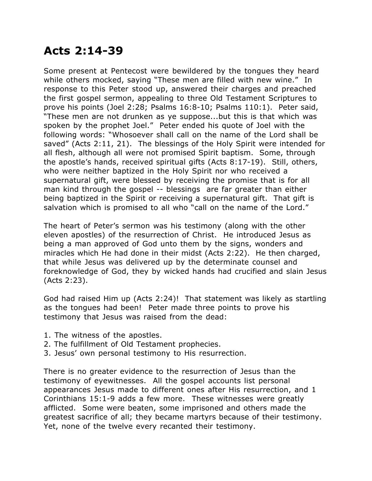## **Acts 2:14-39**

Some present at Pentecost were bewildered by the tongues they heard while others mocked, saying "These men are filled with new wine." In response to this Peter stood up, answered their charges and preached the first gospel sermon, appealing to three Old Testament Scriptures to prove his points (Joel 2:28; Psalms 16:8-10; Psalms 110:1). Peter said, "These men are not drunken as ye suppose...but this is that which was spoken by the prophet Joel." Peter ended his quote of Joel with the following words: "Whosoever shall call on the name of the Lord shall be saved" (Acts 2:11, 21). The blessings of the Holy Spirit were intended for all flesh, although all were not promised Spirit baptism. Some, through the apostle's hands, received spiritual gifts (Acts 8:17-19). Still, others, who were neither baptized in the Holy Spirit nor who received a supernatural gift, were blessed by receiving the promise that is for all man kind through the gospel -- blessings are far greater than either being baptized in the Spirit or receiving a supernatural gift. That gift is salvation which is promised to all who "call on the name of the Lord."

The heart of Peter's sermon was his testimony (along with the other eleven apostles) of the resurrection of Christ. He introduced Jesus as being a man approved of God unto them by the signs, wonders and miracles which He had done in their midst (Acts 2:22). He then charged, that while Jesus was delivered up by the determinate counsel and foreknowledge of God, they by wicked hands had crucified and slain Jesus (Acts 2:23).

God had raised Him up (Acts 2:24)! That statement was likely as startling as the tongues had been! Peter made three points to prove his testimony that Jesus was raised from the dead:

- 1. The witness of the apostles.
- 2. The fulfillment of Old Testament prophecies.
- 3. Jesus' own personal testimony to His resurrection.

There is no greater evidence to the resurrection of Jesus than the testimony of eyewitnesses. All the gospel accounts list personal appearances Jesus made to different ones after His resurrection, and 1 Corinthians 15:1-9 adds a few more. These witnesses were greatly afflicted. Some were beaten, some imprisoned and others made the greatest sacrifice of all; they became martyrs because of their testimony. Yet, none of the twelve every recanted their testimony.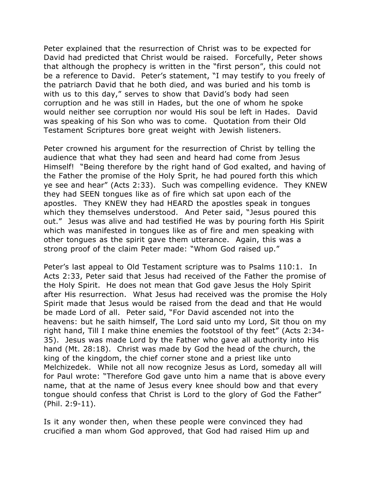Peter explained that the resurrection of Christ was to be expected for David had predicted that Christ would be raised. Forcefully, Peter shows that although the prophecy is written in the "first person", this could not be a reference to David. Peter's statement, "I may testify to you freely of the patriarch David that he both died, and was buried and his tomb is with us to this day," serves to show that David's body had seen corruption and he was still in Hades, but the one of whom he spoke would neither see corruption nor would His soul be left in Hades. David was speaking of his Son who was to come. Quotation from their Old Testament Scriptures bore great weight with Jewish listeners.

Peter crowned his argument for the resurrection of Christ by telling the audience that what they had seen and heard had come from Jesus Himself! "Being therefore by the right hand of God exalted, and having of the Father the promise of the Holy Sprit, he had poured forth this which ye see and hear" (Acts 2:33). Such was compelling evidence. They KNEW they had SEEN tongues like as of fire which sat upon each of the apostles. They KNEW they had HEARD the apostles speak in tongues which they themselves understood. And Peter said, "Jesus poured this out." Jesus was alive and had testified He was by pouring forth His Spirit which was manifested in tongues like as of fire and men speaking with other tongues as the spirit gave them utterance. Again, this was a strong proof of the claim Peter made: "Whom God raised up."

Peter's last appeal to Old Testament scripture was to Psalms 110:1. In Acts 2:33, Peter said that Jesus had received of the Father the promise of the Holy Spirit. He does not mean that God gave Jesus the Holy Spirit after His resurrection. What Jesus had received was the promise the Holy Spirit made that Jesus would be raised from the dead and that He would be made Lord of all. Peter said, "For David ascended not into the heavens: but he saith himself, The Lord said unto my Lord, Sit thou on my right hand, Till I make thine enemies the footstool of thy feet" (Acts 2:34- 35). Jesus was made Lord by the Father who gave all authority into His hand (Mt. 28:18). Christ was made by God the head of the church, the king of the kingdom, the chief corner stone and a priest like unto Melchizedek. While not all now recognize Jesus as Lord, someday all will for Paul wrote: "Therefore God gave unto him a name that is above every name, that at the name of Jesus every knee should bow and that every tongue should confess that Christ is Lord to the glory of God the Father" (Phil. 2:9-11).

Is it any wonder then, when these people were convinced they had crucified a man whom God approved, that God had raised Him up and